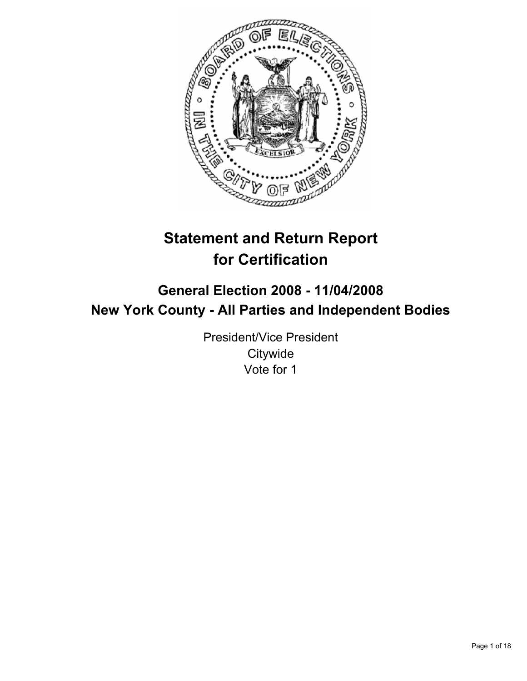

# **Statement and Return Report for Certification**

# **General Election 2008 - 11/04/2008 New York County - All Parties and Independent Bodies**

President/Vice President **Citywide** Vote for 1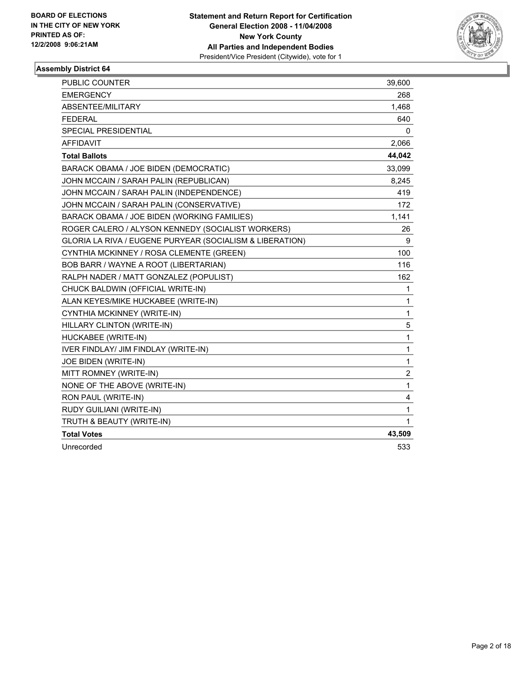

| <b>PUBLIC COUNTER</b>                                    | 39,600         |
|----------------------------------------------------------|----------------|
| <b>EMERGENCY</b>                                         | 268            |
| ABSENTEE/MILITARY                                        | 1,468          |
| <b>FEDERAL</b>                                           | 640            |
| SPECIAL PRESIDENTIAL                                     | 0              |
| <b>AFFIDAVIT</b>                                         | 2,066          |
| <b>Total Ballots</b>                                     | 44,042         |
| BARACK OBAMA / JOE BIDEN (DEMOCRATIC)                    | 33,099         |
| JOHN MCCAIN / SARAH PALIN (REPUBLICAN)                   | 8,245          |
| JOHN MCCAIN / SARAH PALIN (INDEPENDENCE)                 | 419            |
| JOHN MCCAIN / SARAH PALIN (CONSERVATIVE)                 | 172            |
| BARACK OBAMA / JOE BIDEN (WORKING FAMILIES)              | 1,141          |
| ROGER CALERO / ALYSON KENNEDY (SOCIALIST WORKERS)        | 26             |
| GLORIA LA RIVA / EUGENE PURYEAR (SOCIALISM & LIBERATION) | 9              |
| CYNTHIA MCKINNEY / ROSA CLEMENTE (GREEN)                 | 100            |
| <b>BOB BARR / WAYNE A ROOT (LIBERTARIAN)</b>             | 116            |
| RALPH NADER / MATT GONZALEZ (POPULIST)                   | 162            |
| CHUCK BALDWIN (OFFICIAL WRITE-IN)                        | 1              |
| ALAN KEYES/MIKE HUCKABEE (WRITE-IN)                      | 1              |
| CYNTHIA MCKINNEY (WRITE-IN)                              | 1              |
| HILLARY CLINTON (WRITE-IN)                               | 5              |
| HUCKABEE (WRITE-IN)                                      | 1              |
| IVER FINDLAY/ JIM FINDLAY (WRITE-IN)                     | 1              |
| <b>JOE BIDEN (WRITE-IN)</b>                              | 1              |
| MITT ROMNEY (WRITE-IN)                                   | $\overline{2}$ |
| NONE OF THE ABOVE (WRITE-IN)                             | 1              |
| RON PAUL (WRITE-IN)                                      | 4              |
| RUDY GUILIANI (WRITE-IN)                                 | 1              |
| TRUTH & BEAUTY (WRITE-IN)                                | $\mathbf 1$    |
| <b>Total Votes</b>                                       | 43,509         |
| Unrecorded                                               | 533            |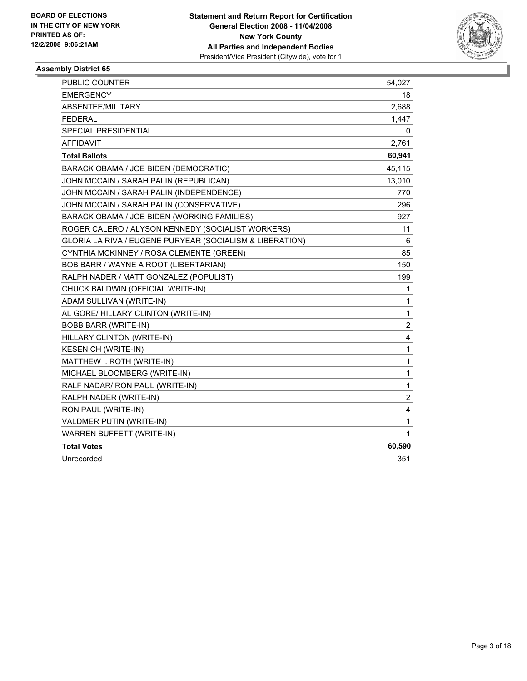

| PUBLIC COUNTER                                           | 54,027         |
|----------------------------------------------------------|----------------|
| <b>EMERGENCY</b>                                         | 18             |
| ABSENTEE/MILITARY                                        | 2,688          |
| <b>FEDERAL</b>                                           | 1,447          |
| <b>SPECIAL PRESIDENTIAL</b>                              | 0              |
| <b>AFFIDAVIT</b>                                         | 2,761          |
| <b>Total Ballots</b>                                     | 60,941         |
| BARACK OBAMA / JOE BIDEN (DEMOCRATIC)                    | 45,115         |
| JOHN MCCAIN / SARAH PALIN (REPUBLICAN)                   | 13,010         |
| JOHN MCCAIN / SARAH PALIN (INDEPENDENCE)                 | 770            |
| JOHN MCCAIN / SARAH PALIN (CONSERVATIVE)                 | 296            |
| BARACK OBAMA / JOE BIDEN (WORKING FAMILIES)              | 927            |
| ROGER CALERO / ALYSON KENNEDY (SOCIALIST WORKERS)        | 11             |
| GLORIA LA RIVA / EUGENE PURYEAR (SOCIALISM & LIBERATION) | 6              |
| CYNTHIA MCKINNEY / ROSA CLEMENTE (GREEN)                 | 85             |
| BOB BARR / WAYNE A ROOT (LIBERTARIAN)                    | 150            |
| RALPH NADER / MATT GONZALEZ (POPULIST)                   | 199            |
| CHUCK BALDWIN (OFFICIAL WRITE-IN)                        | 1              |
| ADAM SULLIVAN (WRITE-IN)                                 | 1              |
| AL GORE/ HILLARY CLINTON (WRITE-IN)                      | 1              |
| BOBB BARR (WRITE-IN)                                     | $\overline{c}$ |
| HILLARY CLINTON (WRITE-IN)                               | 4              |
| <b>KESENICH (WRITE-IN)</b>                               | $\mathbf{1}$   |
| MATTHEW I. ROTH (WRITE-IN)                               | 1              |
| MICHAEL BLOOMBERG (WRITE-IN)                             | 1              |
| RALF NADAR/ RON PAUL (WRITE-IN)                          | 1              |
| RALPH NADER (WRITE-IN)                                   | $\overline{2}$ |
| RON PAUL (WRITE-IN)                                      | 4              |
| VALDMER PUTIN (WRITE-IN)                                 | 1              |
| WARREN BUFFETT (WRITE-IN)                                | $\mathbf 1$    |
| <b>Total Votes</b>                                       | 60,590         |
| Unrecorded                                               | 351            |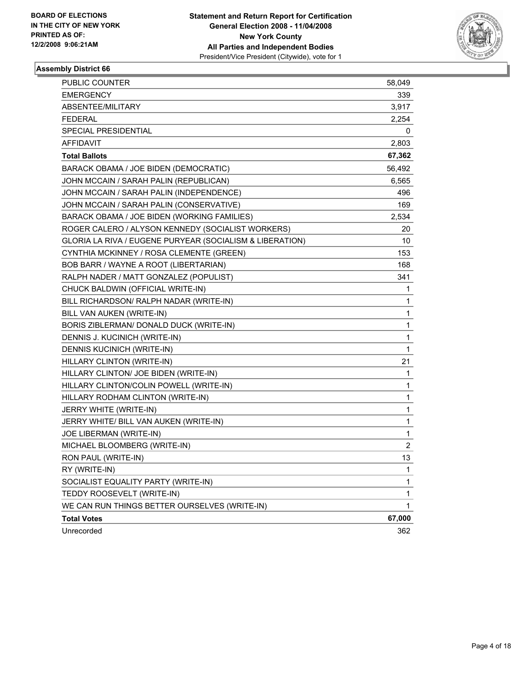

| PUBLIC COUNTER                                           | 58,049      |
|----------------------------------------------------------|-------------|
| <b>EMERGENCY</b>                                         | 339         |
| ABSENTEE/MILITARY                                        | 3,917       |
| <b>FEDERAL</b>                                           | 2,254       |
| SPECIAL PRESIDENTIAL                                     | 0           |
| <b>AFFIDAVIT</b>                                         | 2,803       |
| <b>Total Ballots</b>                                     | 67,362      |
| BARACK OBAMA / JOE BIDEN (DEMOCRATIC)                    | 56,492      |
| JOHN MCCAIN / SARAH PALIN (REPUBLICAN)                   | 6,565       |
| JOHN MCCAIN / SARAH PALIN (INDEPENDENCE)                 | 496         |
| JOHN MCCAIN / SARAH PALIN (CONSERVATIVE)                 | 169         |
| BARACK OBAMA / JOE BIDEN (WORKING FAMILIES)              | 2,534       |
| ROGER CALERO / ALYSON KENNEDY (SOCIALIST WORKERS)        | 20          |
| GLORIA LA RIVA / EUGENE PURYEAR (SOCIALISM & LIBERATION) | 10          |
| CYNTHIA MCKINNEY / ROSA CLEMENTE (GREEN)                 | 153         |
| BOB BARR / WAYNE A ROOT (LIBERTARIAN)                    | 168         |
| RALPH NADER / MATT GONZALEZ (POPULIST)                   | 341         |
| CHUCK BALDWIN (OFFICIAL WRITE-IN)                        | 1           |
| BILL RICHARDSON/ RALPH NADAR (WRITE-IN)                  | 1           |
| BILL VAN AUKEN (WRITE-IN)                                | 1           |
| BORIS ZIBLERMAN/ DONALD DUCK (WRITE-IN)                  | 1           |
| DENNIS J. KUCINICH (WRITE-IN)                            | 1           |
| DENNIS KUCINICH (WRITE-IN)                               | 1           |
| HILLARY CLINTON (WRITE-IN)                               | 21          |
| HILLARY CLINTON/ JOE BIDEN (WRITE-IN)                    | 1           |
| HILLARY CLINTON/COLIN POWELL (WRITE-IN)                  | 1           |
| HILLARY RODHAM CLINTON (WRITE-IN)                        | 1           |
| JERRY WHITE (WRITE-IN)                                   | 1           |
| JERRY WHITE/ BILL VAN AUKEN (WRITE-IN)                   | 1           |
| JOE LIBERMAN (WRITE-IN)                                  | 1           |
| MICHAEL BLOOMBERG (WRITE-IN)                             | $\mathbf 2$ |
| RON PAUL (WRITE-IN)                                      | 13          |
| RY (WRITE-IN)                                            | 1           |
| SOCIALIST EQUALITY PARTY (WRITE-IN)                      | 1           |
| TEDDY ROOSEVELT (WRITE-IN)                               | 1           |
| WE CAN RUN THINGS BETTER OURSELVES (WRITE-IN)            | 1           |
| <b>Total Votes</b>                                       | 67,000      |
| Unrecorded                                               | 362         |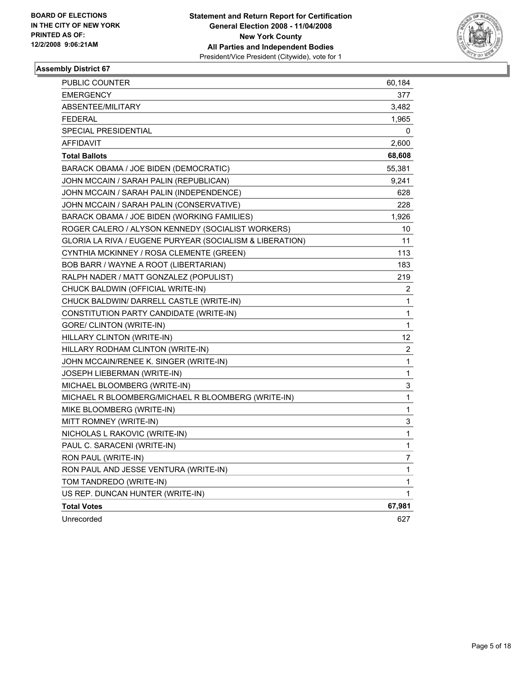

| PUBLIC COUNTER                                           | 60,184                  |
|----------------------------------------------------------|-------------------------|
| <b>EMERGENCY</b>                                         | 377                     |
| ABSENTEE/MILITARY                                        | 3,482                   |
| <b>FEDERAL</b>                                           | 1,965                   |
| SPECIAL PRESIDENTIAL                                     | 0                       |
| <b>AFFIDAVIT</b>                                         | 2,600                   |
| <b>Total Ballots</b>                                     | 68,608                  |
| BARACK OBAMA / JOE BIDEN (DEMOCRATIC)                    | 55,381                  |
| JOHN MCCAIN / SARAH PALIN (REPUBLICAN)                   | 9,241                   |
| JOHN MCCAIN / SARAH PALIN (INDEPENDENCE)                 | 628                     |
| JOHN MCCAIN / SARAH PALIN (CONSERVATIVE)                 | 228                     |
| BARACK OBAMA / JOE BIDEN (WORKING FAMILIES)              | 1,926                   |
| ROGER CALERO / ALYSON KENNEDY (SOCIALIST WORKERS)        | 10                      |
| GLORIA LA RIVA / EUGENE PURYEAR (SOCIALISM & LIBERATION) | 11                      |
| CYNTHIA MCKINNEY / ROSA CLEMENTE (GREEN)                 | 113                     |
| BOB BARR / WAYNE A ROOT (LIBERTARIAN)                    | 183                     |
| RALPH NADER / MATT GONZALEZ (POPULIST)                   | 219                     |
| CHUCK BALDWIN (OFFICIAL WRITE-IN)                        | 2                       |
| CHUCK BALDWIN/ DARRELL CASTLE (WRITE-IN)                 | 1                       |
| CONSTITUTION PARTY CANDIDATE (WRITE-IN)                  | 1                       |
| GORE/ CLINTON (WRITE-IN)                                 | 1                       |
| HILLARY CLINTON (WRITE-IN)                               | 12                      |
| HILLARY RODHAM CLINTON (WRITE-IN)                        | $\overline{\mathbf{c}}$ |
| JOHN MCCAIN/RENEE K. SINGER (WRITE-IN)                   | 1                       |
| JOSEPH LIEBERMAN (WRITE-IN)                              | 1                       |
| MICHAEL BLOOMBERG (WRITE-IN)                             | 3                       |
| MICHAEL R BLOOMBERG/MICHAEL R BLOOMBERG (WRITE-IN)       | 1                       |
| MIKE BLOOMBERG (WRITE-IN)                                | 1                       |
| MITT ROMNEY (WRITE-IN)                                   | 3                       |
| NICHOLAS L RAKOVIC (WRITE-IN)                            | 1                       |
| PAUL C. SARACENI (WRITE-IN)                              | 1                       |
| RON PAUL (WRITE-IN)                                      | 7                       |
| RON PAUL AND JESSE VENTURA (WRITE-IN)                    | 1                       |
| TOM TANDREDO (WRITE-IN)                                  | 1                       |
| US REP. DUNCAN HUNTER (WRITE-IN)                         | $\mathbf{1}$            |
| <b>Total Votes</b>                                       | 67,981                  |
| Unrecorded                                               | 627                     |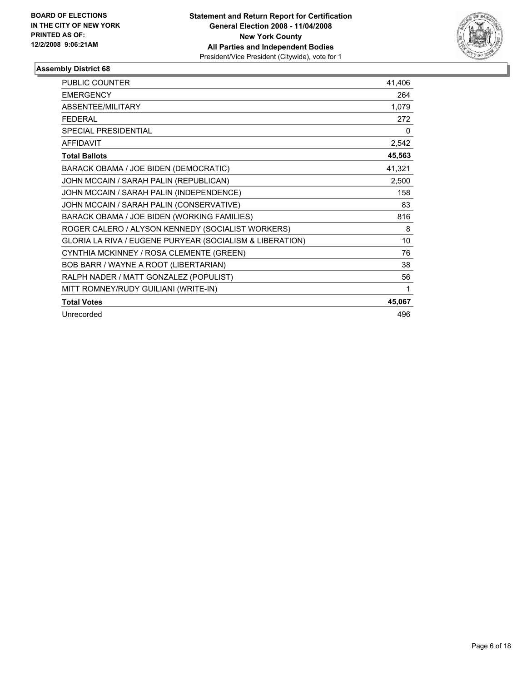

| PUBLIC COUNTER                                           | 41,406 |
|----------------------------------------------------------|--------|
| <b>EMERGENCY</b>                                         | 264    |
| ABSENTEE/MILITARY                                        | 1,079  |
| <b>FEDERAL</b>                                           | 272    |
| <b>SPECIAL PRESIDENTIAL</b>                              | 0      |
| <b>AFFIDAVIT</b>                                         | 2,542  |
| <b>Total Ballots</b>                                     | 45,563 |
| BARACK OBAMA / JOE BIDEN (DEMOCRATIC)                    | 41,321 |
| JOHN MCCAIN / SARAH PALIN (REPUBLICAN)                   | 2,500  |
| JOHN MCCAIN / SARAH PALIN (INDEPENDENCE)                 | 158    |
| JOHN MCCAIN / SARAH PALIN (CONSERVATIVE)                 | 83     |
| BARACK OBAMA / JOE BIDEN (WORKING FAMILIES)              | 816    |
| ROGER CALERO / ALYSON KENNEDY (SOCIALIST WORKERS)        | 8      |
| GLORIA LA RIVA / EUGENE PURYEAR (SOCIALISM & LIBERATION) | 10     |
| CYNTHIA MCKINNEY / ROSA CLEMENTE (GREEN)                 | 76     |
| BOB BARR / WAYNE A ROOT (LIBERTARIAN)                    | 38     |
| RALPH NADER / MATT GONZALEZ (POPULIST)                   | 56     |
| MITT ROMNEY/RUDY GUILIANI (WRITE-IN)                     | 1      |
| <b>Total Votes</b>                                       | 45,067 |
| Unrecorded                                               | 496    |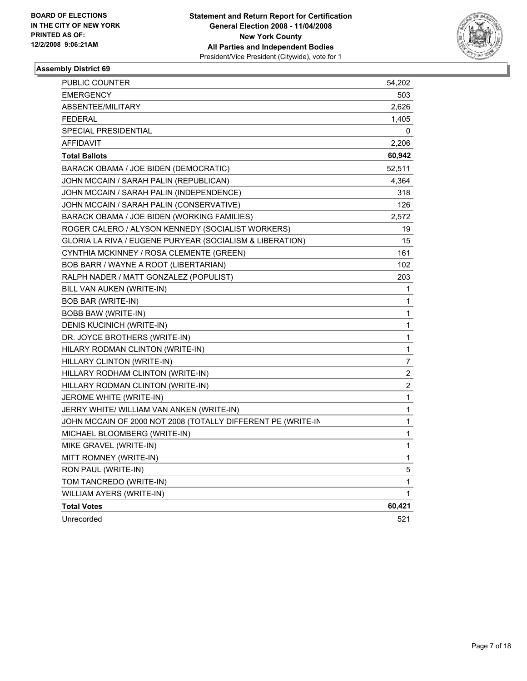

| PUBLIC COUNTER                                               | 54,202                  |
|--------------------------------------------------------------|-------------------------|
| <b>EMERGENCY</b>                                             | 503                     |
| ABSENTEE/MILITARY                                            | 2,626                   |
| FEDERAL                                                      | 1,405                   |
| SPECIAL PRESIDENTIAL                                         | 0                       |
| AFFIDAVIT                                                    | 2,206                   |
| <b>Total Ballots</b>                                         | 60,942                  |
| BARACK OBAMA / JOE BIDEN (DEMOCRATIC)                        | 52,511                  |
| JOHN MCCAIN / SARAH PALIN (REPUBLICAN)                       | 4,364                   |
| JOHN MCCAIN / SARAH PALIN (INDEPENDENCE)                     | 318                     |
| JOHN MCCAIN / SARAH PALIN (CONSERVATIVE)                     | 126                     |
| BARACK OBAMA / JOE BIDEN (WORKING FAMILIES)                  | 2,572                   |
| ROGER CALERO / ALYSON KENNEDY (SOCIALIST WORKERS)            | 19                      |
| GLORIA LA RIVA / EUGENE PURYEAR (SOCIALISM & LIBERATION)     | 15                      |
| CYNTHIA MCKINNEY / ROSA CLEMENTE (GREEN)                     | 161                     |
| BOB BARR / WAYNE A ROOT (LIBERTARIAN)                        | 102                     |
| RALPH NADER / MATT GONZALEZ (POPULIST)                       | 203                     |
| BILL VAN AUKEN (WRITE-IN)                                    | 1                       |
| <b>BOB BAR (WRITE-IN)</b>                                    | 1                       |
| BOBB BAW (WRITE-IN)                                          | 1                       |
| DENIS KUCINICH (WRITE-IN)                                    | 1                       |
| DR. JOYCE BROTHERS (WRITE-IN)                                | 1                       |
| HILARY RODMAN CLINTON (WRITE-IN)                             | 1                       |
| HILLARY CLINTON (WRITE-IN)                                   | 7                       |
| HILLARY RODHAM CLINTON (WRITE-IN)                            | $\overline{\mathbf{c}}$ |
| HILLARY RODMAN CLINTON (WRITE-IN)                            | $\overline{\mathbf{c}}$ |
| JEROME WHITE (WRITE-IN)                                      | 1                       |
| JERRY WHITE/ WILLIAM VAN ANKEN (WRITE-IN)                    | $\mathbf{1}$            |
| JOHN MCCAIN OF 2000 NOT 2008 (TOTALLY DIFFERENT PE (WRITE-IN | 1                       |
| MICHAEL BLOOMBERG (WRITE-IN)                                 | 1                       |
| MIKE GRAVEL (WRITE-IN)                                       | 1                       |
| MITT ROMNEY (WRITE-IN)                                       | 1                       |
| RON PAUL (WRITE-IN)                                          | 5                       |
| TOM TANCREDO (WRITE-IN)                                      | 1                       |
| WILLIAM AYERS (WRITE-IN)                                     | 1                       |
| <b>Total Votes</b>                                           | 60,421                  |
| Unrecorded                                                   | 521                     |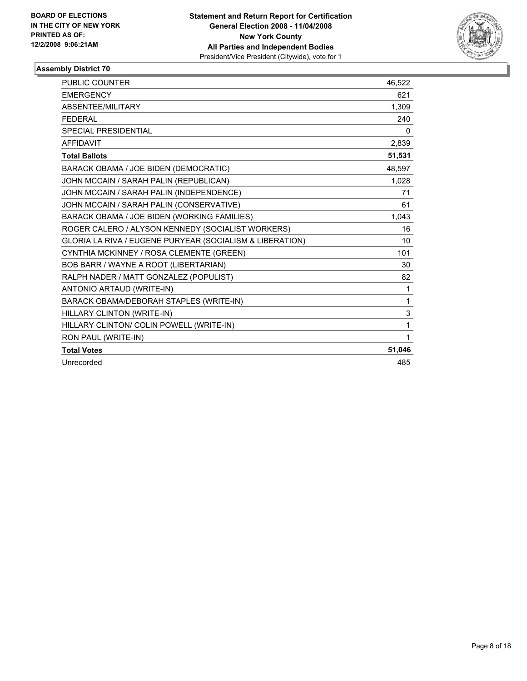

| <b>PUBLIC COUNTER</b>                                    | 46,522 |
|----------------------------------------------------------|--------|
| <b>EMERGENCY</b>                                         | 621    |
| ABSENTEE/MILITARY                                        | 1,309  |
| <b>FEDERAL</b>                                           | 240    |
| <b>SPECIAL PRESIDENTIAL</b>                              | 0      |
| <b>AFFIDAVIT</b>                                         | 2,839  |
| <b>Total Ballots</b>                                     | 51,531 |
| BARACK OBAMA / JOE BIDEN (DEMOCRATIC)                    | 48,597 |
| JOHN MCCAIN / SARAH PALIN (REPUBLICAN)                   | 1,028  |
| JOHN MCCAIN / SARAH PALIN (INDEPENDENCE)                 | 71     |
| JOHN MCCAIN / SARAH PALIN (CONSERVATIVE)                 | 61     |
| BARACK OBAMA / JOE BIDEN (WORKING FAMILIES)              | 1,043  |
| ROGER CALERO / ALYSON KENNEDY (SOCIALIST WORKERS)        | 16     |
| GLORIA LA RIVA / EUGENE PURYEAR (SOCIALISM & LIBERATION) | 10     |
| CYNTHIA MCKINNEY / ROSA CLEMENTE (GREEN)                 | 101    |
| BOB BARR / WAYNE A ROOT (LIBERTARIAN)                    | 30     |
| RALPH NADER / MATT GONZALEZ (POPULIST)                   | 82     |
| ANTONIO ARTAUD (WRITE-IN)                                | 1      |
| BARACK OBAMA/DEBORAH STAPLES (WRITE-IN)                  | 1      |
| HILLARY CLINTON (WRITE-IN)                               | 3      |
| HILLARY CLINTON/ COLIN POWELL (WRITE-IN)                 | 1      |
| RON PAUL (WRITE-IN)                                      |        |
| <b>Total Votes</b>                                       | 51,046 |
| Unrecorded                                               | 485    |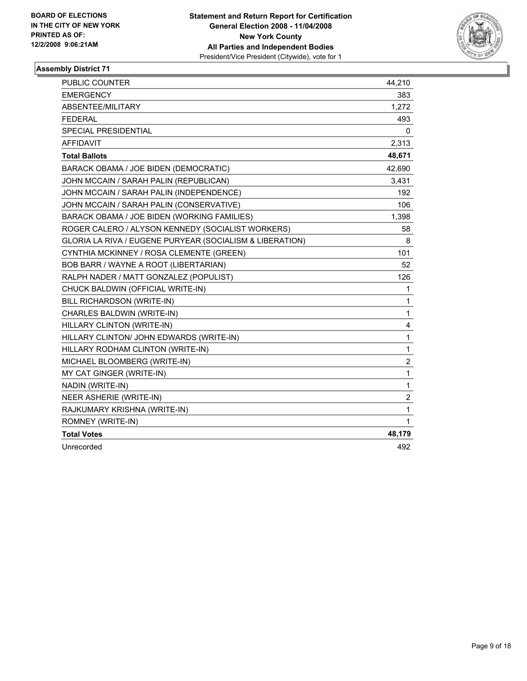

| 383<br>1,272<br>493<br>0<br>2,313<br>48,671<br>42,690<br>3,431<br>192<br>106<br>1,398<br>58<br>8<br>101<br>52<br>126<br>1<br>1<br>1<br>4<br>1<br>1<br>$\overline{2}$<br>1<br>1<br>$\overline{2}$<br>1<br>$\mathbf{1}$<br>48,179 | <b>PUBLIC COUNTER</b>                                    | 44,210 |
|---------------------------------------------------------------------------------------------------------------------------------------------------------------------------------------------------------------------------------|----------------------------------------------------------|--------|
|                                                                                                                                                                                                                                 | <b>EMERGENCY</b>                                         |        |
|                                                                                                                                                                                                                                 | ABSENTEE/MILITARY                                        |        |
|                                                                                                                                                                                                                                 | <b>FEDERAL</b>                                           |        |
|                                                                                                                                                                                                                                 | SPECIAL PRESIDENTIAL                                     |        |
|                                                                                                                                                                                                                                 | <b>AFFIDAVIT</b>                                         |        |
|                                                                                                                                                                                                                                 | <b>Total Ballots</b>                                     |        |
|                                                                                                                                                                                                                                 | BARACK OBAMA / JOE BIDEN (DEMOCRATIC)                    |        |
|                                                                                                                                                                                                                                 | JOHN MCCAIN / SARAH PALIN (REPUBLICAN)                   |        |
|                                                                                                                                                                                                                                 | JOHN MCCAIN / SARAH PALIN (INDEPENDENCE)                 |        |
|                                                                                                                                                                                                                                 | JOHN MCCAIN / SARAH PALIN (CONSERVATIVE)                 |        |
|                                                                                                                                                                                                                                 | BARACK OBAMA / JOE BIDEN (WORKING FAMILIES)              |        |
|                                                                                                                                                                                                                                 | ROGER CALERO / ALYSON KENNEDY (SOCIALIST WORKERS)        |        |
|                                                                                                                                                                                                                                 | GLORIA LA RIVA / EUGENE PURYEAR (SOCIALISM & LIBERATION) |        |
|                                                                                                                                                                                                                                 | CYNTHIA MCKINNEY / ROSA CLEMENTE (GREEN)                 |        |
|                                                                                                                                                                                                                                 | BOB BARR / WAYNE A ROOT (LIBERTARIAN)                    |        |
|                                                                                                                                                                                                                                 | RALPH NADER / MATT GONZALEZ (POPULIST)                   |        |
|                                                                                                                                                                                                                                 | CHUCK BALDWIN (OFFICIAL WRITE-IN)                        |        |
|                                                                                                                                                                                                                                 | BILL RICHARDSON (WRITE-IN)                               |        |
|                                                                                                                                                                                                                                 | CHARLES BALDWIN (WRITE-IN)                               |        |
|                                                                                                                                                                                                                                 | HILLARY CLINTON (WRITE-IN)                               |        |
|                                                                                                                                                                                                                                 | HILLARY CLINTON/ JOHN EDWARDS (WRITE-IN)                 |        |
|                                                                                                                                                                                                                                 | HILLARY RODHAM CLINTON (WRITE-IN)                        |        |
|                                                                                                                                                                                                                                 | MICHAEL BLOOMBERG (WRITE-IN)                             |        |
|                                                                                                                                                                                                                                 | MY CAT GINGER (WRITE-IN)                                 |        |
|                                                                                                                                                                                                                                 | NADIN (WRITE-IN)                                         |        |
|                                                                                                                                                                                                                                 | NEER ASHERIE (WRITE-IN)                                  |        |
|                                                                                                                                                                                                                                 | RAJKUMARY KRISHNA (WRITE-IN)                             |        |
|                                                                                                                                                                                                                                 | ROMNEY (WRITE-IN)                                        |        |
|                                                                                                                                                                                                                                 | <b>Total Votes</b>                                       |        |
|                                                                                                                                                                                                                                 | Unrecorded                                               | 492    |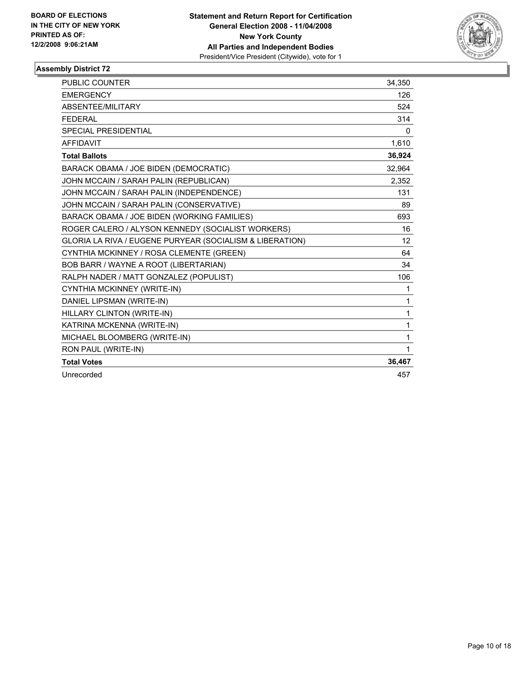

| PUBLIC COUNTER                                           | 34,350   |
|----------------------------------------------------------|----------|
| <b>EMERGENCY</b>                                         | 126      |
| ABSENTEE/MILITARY                                        | 524      |
| <b>FEDERAL</b>                                           | 314      |
| SPECIAL PRESIDENTIAL                                     | $\Omega$ |
| <b>AFFIDAVIT</b>                                         | 1,610    |
| <b>Total Ballots</b>                                     | 36,924   |
| BARACK OBAMA / JOE BIDEN (DEMOCRATIC)                    | 32,964   |
| JOHN MCCAIN / SARAH PALIN (REPUBLICAN)                   | 2,352    |
| JOHN MCCAIN / SARAH PALIN (INDEPENDENCE)                 | 131      |
| JOHN MCCAIN / SARAH PALIN (CONSERVATIVE)                 | 89       |
| BARACK OBAMA / JOE BIDEN (WORKING FAMILIES)              | 693      |
| ROGER CALERO / ALYSON KENNEDY (SOCIALIST WORKERS)        | 16       |
| GLORIA LA RIVA / EUGENE PURYEAR (SOCIALISM & LIBERATION) | 12       |
| CYNTHIA MCKINNEY / ROSA CLEMENTE (GREEN)                 | 64       |
| BOB BARR / WAYNE A ROOT (LIBERTARIAN)                    | 34       |
| RALPH NADER / MATT GONZALEZ (POPULIST)                   | 106      |
| CYNTHIA MCKINNEY (WRITE-IN)                              | 1        |
| DANIEL LIPSMAN (WRITE-IN)                                | 1        |
| HILLARY CLINTON (WRITE-IN)                               | 1        |
| KATRINA MCKENNA (WRITE-IN)                               | 1        |
| MICHAEL BLOOMBERG (WRITE-IN)                             | 1        |
| RON PAUL (WRITE-IN)                                      | 1        |
| <b>Total Votes</b>                                       | 36,467   |
| Unrecorded                                               | 457      |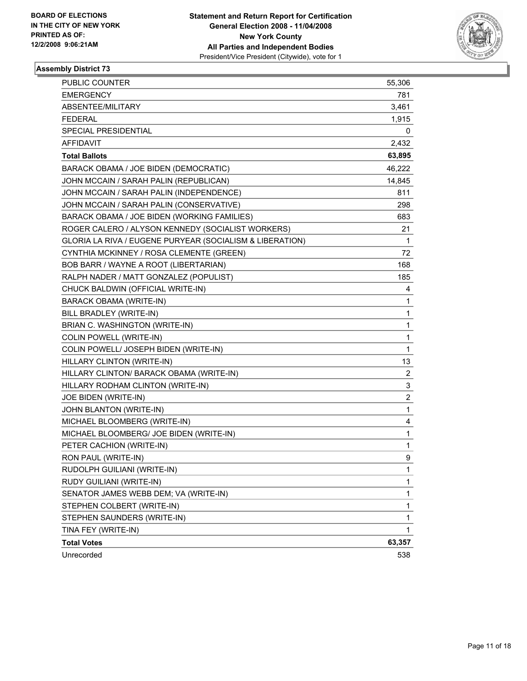

| <b>PUBLIC COUNTER</b>                                    | 55,306                  |
|----------------------------------------------------------|-------------------------|
| <b>EMERGENCY</b>                                         | 781                     |
| ABSENTEE/MILITARY                                        | 3,461                   |
| <b>FEDERAL</b>                                           | 1,915                   |
| SPECIAL PRESIDENTIAL                                     | 0                       |
| <b>AFFIDAVIT</b>                                         | 2,432                   |
| <b>Total Ballots</b>                                     | 63,895                  |
| BARACK OBAMA / JOE BIDEN (DEMOCRATIC)                    | 46,222                  |
| JOHN MCCAIN / SARAH PALIN (REPUBLICAN)                   | 14,845                  |
| JOHN MCCAIN / SARAH PALIN (INDEPENDENCE)                 | 811                     |
| JOHN MCCAIN / SARAH PALIN (CONSERVATIVE)                 | 298                     |
| BARACK OBAMA / JOE BIDEN (WORKING FAMILIES)              | 683                     |
| ROGER CALERO / ALYSON KENNEDY (SOCIALIST WORKERS)        | 21                      |
| GLORIA LA RIVA / EUGENE PURYEAR (SOCIALISM & LIBERATION) | 1                       |
| CYNTHIA MCKINNEY / ROSA CLEMENTE (GREEN)                 | 72                      |
| BOB BARR / WAYNE A ROOT (LIBERTARIAN)                    | 168                     |
| RALPH NADER / MATT GONZALEZ (POPULIST)                   | 185                     |
| CHUCK BALDWIN (OFFICIAL WRITE-IN)                        | 4                       |
| <b>BARACK OBAMA (WRITE-IN)</b>                           | 1                       |
| BILL BRADLEY (WRITE-IN)                                  | 1                       |
| BRIAN C. WASHINGTON (WRITE-IN)                           | 1                       |
| COLIN POWELL (WRITE-IN)                                  | 1                       |
| COLIN POWELL/ JOSEPH BIDEN (WRITE-IN)                    | 1                       |
| HILLARY CLINTON (WRITE-IN)                               | 13                      |
| HILLARY CLINTON/ BARACK OBAMA (WRITE-IN)                 | 2                       |
| HILLARY RODHAM CLINTON (WRITE-IN)                        | 3                       |
| JOE BIDEN (WRITE-IN)                                     | $\overline{\mathbf{c}}$ |
| JOHN BLANTON (WRITE-IN)                                  | 1                       |
| MICHAEL BLOOMBERG (WRITE-IN)                             | 4                       |
| MICHAEL BLOOMBERG/ JOE BIDEN (WRITE-IN)                  | 1                       |
| PETER CACHION (WRITE-IN)                                 | 1                       |
| RON PAUL (WRITE-IN)                                      | 9                       |
| RUDOLPH GUILIANI (WRITE-IN)                              | 1                       |
| RUDY GUILIANI (WRITE-IN)                                 | 1                       |
| SENATOR JAMES WEBB DEM; VA (WRITE-IN)                    | 1                       |
| STEPHEN COLBERT (WRITE-IN)                               | 1                       |
| STEPHEN SAUNDERS (WRITE-IN)                              | 1                       |
| TINA FEY (WRITE-IN)                                      | 1                       |
| <b>Total Votes</b>                                       | 63,357                  |
| Unrecorded                                               | 538                     |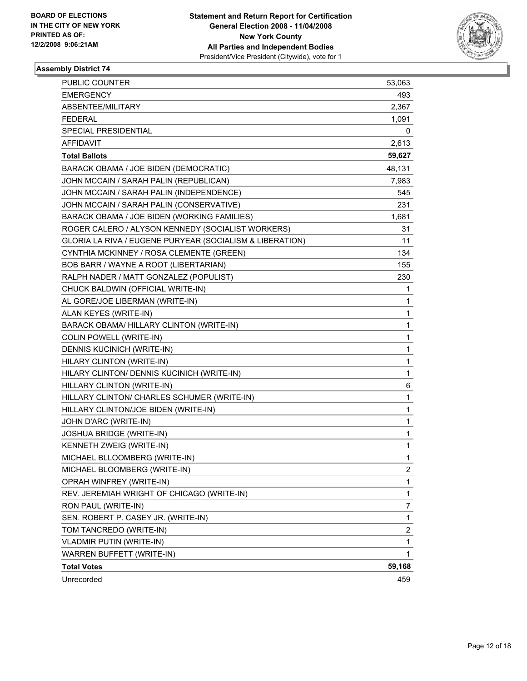

| PUBLIC COUNTER                                           | 53,063                  |
|----------------------------------------------------------|-------------------------|
| <b>EMERGENCY</b>                                         | 493                     |
| ABSENTEE/MILITARY                                        | 2,367                   |
| <b>FEDERAL</b>                                           | 1,091                   |
| SPECIAL PRESIDENTIAL                                     | 0                       |
| <b>AFFIDAVIT</b>                                         | 2,613                   |
| <b>Total Ballots</b>                                     | 59,627                  |
| BARACK OBAMA / JOE BIDEN (DEMOCRATIC)                    | 48,131                  |
| JOHN MCCAIN / SARAH PALIN (REPUBLICAN)                   | 7,983                   |
| JOHN MCCAIN / SARAH PALIN (INDEPENDENCE)                 | 545                     |
| JOHN MCCAIN / SARAH PALIN (CONSERVATIVE)                 | 231                     |
| BARACK OBAMA / JOE BIDEN (WORKING FAMILIES)              | 1,681                   |
| ROGER CALERO / ALYSON KENNEDY (SOCIALIST WORKERS)        | 31                      |
| GLORIA LA RIVA / EUGENE PURYEAR (SOCIALISM & LIBERATION) | 11                      |
| CYNTHIA MCKINNEY / ROSA CLEMENTE (GREEN)                 | 134                     |
| BOB BARR / WAYNE A ROOT (LIBERTARIAN)                    | 155                     |
| RALPH NADER / MATT GONZALEZ (POPULIST)                   | 230                     |
| CHUCK BALDWIN (OFFICIAL WRITE-IN)                        | 1                       |
| AL GORE/JOE LIBERMAN (WRITE-IN)                          | 1                       |
| ALAN KEYES (WRITE-IN)                                    | 1                       |
| BARACK OBAMA/ HILLARY CLINTON (WRITE-IN)                 | 1                       |
| <b>COLIN POWELL (WRITE-IN)</b>                           | 1                       |
| DENNIS KUCINICH (WRITE-IN)                               | 1                       |
| HILARY CLINTON (WRITE-IN)                                | 1                       |
| HILARY CLINTON/ DENNIS KUCINICH (WRITE-IN)               | 1                       |
| HILLARY CLINTON (WRITE-IN)                               | 6                       |
| HILLARY CLINTON/ CHARLES SCHUMER (WRITE-IN)              | 1                       |
| HILLARY CLINTON/JOE BIDEN (WRITE-IN)                     | 1                       |
| JOHN D'ARC (WRITE-IN)                                    | 1                       |
| <b>JOSHUA BRIDGE (WRITE-IN)</b>                          | 1                       |
| KENNETH ZWEIG (WRITE-IN)                                 | 1                       |
| MICHAEL BLLOOMBERG (WRITE-IN)                            | 1                       |
| MICHAEL BLOOMBERG (WRITE-IN)                             | $\overline{\mathbf{c}}$ |
| OPRAH WINFREY (WRITE-IN)                                 | 1                       |
| REV. JEREMIAH WRIGHT OF CHICAGO (WRITE-IN)               | 1                       |
| RON PAUL (WRITE-IN)                                      | 7                       |
| SEN. ROBERT P. CASEY JR. (WRITE-IN)                      | $\mathbf{1}$            |
| TOM TANCREDO (WRITE-IN)                                  | 2                       |
| VLADMIR PUTIN (WRITE-IN)                                 | 1                       |
| WARREN BUFFETT (WRITE-IN)                                | 1                       |
| <b>Total Votes</b>                                       | 59,168                  |
| Unrecorded                                               | 459                     |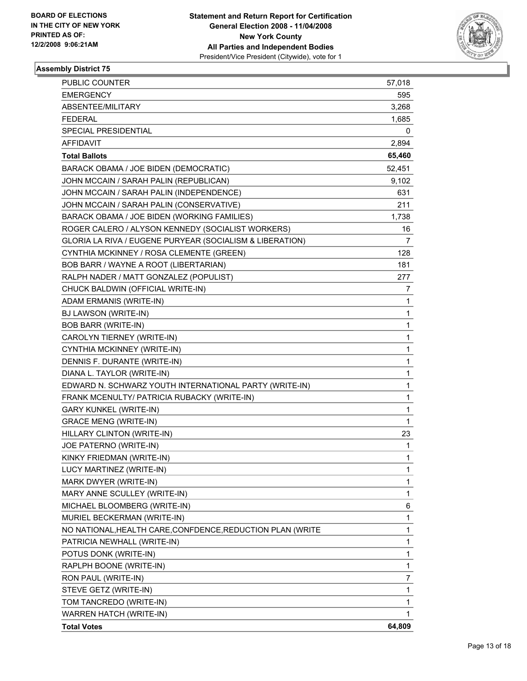

| PUBLIC COUNTER                                             | 57,018         |
|------------------------------------------------------------|----------------|
| <b>EMERGENCY</b>                                           | 595            |
| ABSENTEE/MILITARY                                          | 3,268          |
| <b>FEDERAL</b>                                             | 1,685          |
| SPECIAL PRESIDENTIAL                                       | 0              |
| <b>AFFIDAVIT</b>                                           | 2,894          |
| <b>Total Ballots</b>                                       | 65,460         |
| BARACK OBAMA / JOE BIDEN (DEMOCRATIC)                      | 52,451         |
| JOHN MCCAIN / SARAH PALIN (REPUBLICAN)                     | 9,102          |
| JOHN MCCAIN / SARAH PALIN (INDEPENDENCE)                   | 631            |
| JOHN MCCAIN / SARAH PALIN (CONSERVATIVE)                   | 211            |
| BARACK OBAMA / JOE BIDEN (WORKING FAMILIES)                | 1,738          |
| ROGER CALERO / ALYSON KENNEDY (SOCIALIST WORKERS)          | 16             |
| GLORIA LA RIVA / EUGENE PURYEAR (SOCIALISM & LIBERATION)   | $\overline{7}$ |
| CYNTHIA MCKINNEY / ROSA CLEMENTE (GREEN)                   | 128            |
| BOB BARR / WAYNE A ROOT (LIBERTARIAN)                      | 181            |
| RALPH NADER / MATT GONZALEZ (POPULIST)                     | 277            |
| CHUCK BALDWIN (OFFICIAL WRITE-IN)                          | 7              |
| ADAM ERMANIS (WRITE-IN)                                    | 1              |
| BJ LAWSON (WRITE-IN)                                       | 1              |
| <b>BOB BARR (WRITE-IN)</b>                                 | 1              |
| CAROLYN TIERNEY (WRITE-IN)                                 | 1              |
| CYNTHIA MCKINNEY (WRITE-IN)                                | 1              |
| DENNIS F. DURANTE (WRITE-IN)                               | 1              |
| DIANA L. TAYLOR (WRITE-IN)                                 | 1              |
| EDWARD N. SCHWARZ YOUTH INTERNATIONAL PARTY (WRITE-IN)     | 1              |
| FRANK MCENULTY/ PATRICIA RUBACKY (WRITE-IN)                | 1              |
| <b>GARY KUNKEL (WRITE-IN)</b>                              | 1              |
| <b>GRACE MENG (WRITE-IN)</b>                               | $\mathbf{1}$   |
| HILLARY CLINTON (WRITE-IN)                                 | 23             |
| JOE PATERNO (WRITE-IN)                                     | 1              |
| KINKY FRIEDMAN (WRITE-IN)                                  | 1              |
| LUCY MARTINEZ (WRITE-IN)                                   | 1              |
| MARK DWYER (WRITE-IN)                                      | 1              |
| MARY ANNE SCULLEY (WRITE-IN)                               | 1              |
| MICHAEL BLOOMBERG (WRITE-IN)                               | 6              |
| MURIEL BECKERMAN (WRITE-IN)                                | 1              |
| NO NATIONAL, HEALTH CARE, CONFDENCE, REDUCTION PLAN (WRITE | 1              |
| PATRICIA NEWHALL (WRITE-IN)                                | 1              |
| POTUS DONK (WRITE-IN)                                      | 1              |
| RAPLPH BOONE (WRITE-IN)                                    | 1              |
| RON PAUL (WRITE-IN)                                        | 7              |
| STEVE GETZ (WRITE-IN)                                      | 1              |
| TOM TANCREDO (WRITE-IN)                                    | 1              |
| <b>WARREN HATCH (WRITE-IN)</b>                             | 1              |
| <b>Total Votes</b>                                         | 64,809         |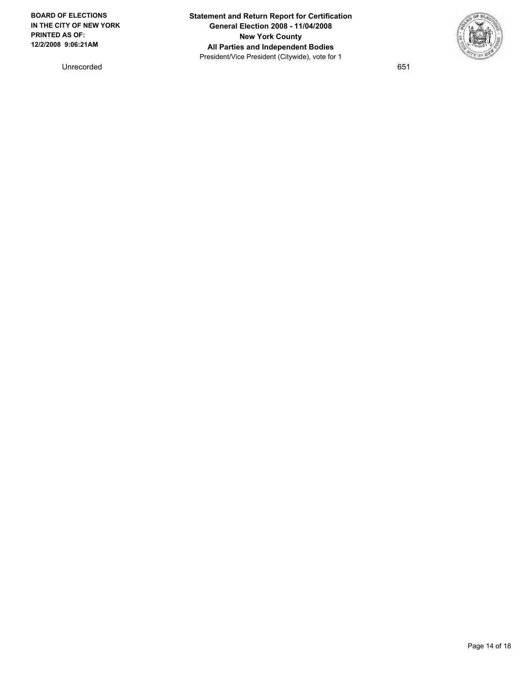**BOARD OF ELECTIONS IN THE CITY OF NEW YORK PRINTED AS OF: 12/2/2008 9:06:21AM**

Unrecorded 651

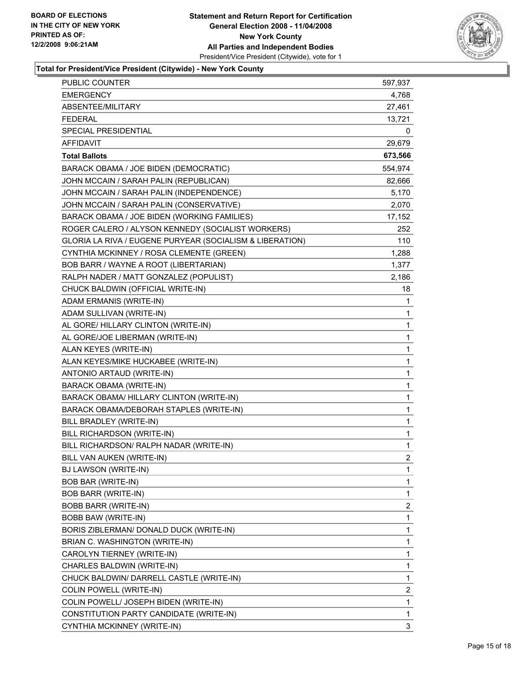

| <b>PUBLIC COUNTER</b>                                    | 597,937                 |
|----------------------------------------------------------|-------------------------|
| <b>EMERGENCY</b>                                         | 4,768                   |
| ABSENTEE/MILITARY                                        | 27,461                  |
| <b>FEDERAL</b>                                           | 13,721                  |
| SPECIAL PRESIDENTIAL                                     | 0                       |
| <b>AFFIDAVIT</b>                                         | 29,679                  |
| <b>Total Ballots</b>                                     | 673,566                 |
| BARACK OBAMA / JOE BIDEN (DEMOCRATIC)                    | 554,974                 |
| JOHN MCCAIN / SARAH PALIN (REPUBLICAN)                   | 82,666                  |
| JOHN MCCAIN / SARAH PALIN (INDEPENDENCE)                 | 5,170                   |
| JOHN MCCAIN / SARAH PALIN (CONSERVATIVE)                 | 2,070                   |
| BARACK OBAMA / JOE BIDEN (WORKING FAMILIES)              | 17,152                  |
| ROGER CALERO / ALYSON KENNEDY (SOCIALIST WORKERS)        | 252                     |
| GLORIA LA RIVA / EUGENE PURYEAR (SOCIALISM & LIBERATION) | 110                     |
| CYNTHIA MCKINNEY / ROSA CLEMENTE (GREEN)                 | 1,288                   |
| BOB BARR / WAYNE A ROOT (LIBERTARIAN)                    | 1,377                   |
| RALPH NADER / MATT GONZALEZ (POPULIST)                   | 2,186                   |
| CHUCK BALDWIN (OFFICIAL WRITE-IN)                        | 18                      |
| ADAM ERMANIS (WRITE-IN)                                  | 1                       |
| ADAM SULLIVAN (WRITE-IN)                                 | 1                       |
| AL GORE/ HILLARY CLINTON (WRITE-IN)                      | 1                       |
| AL GORE/JOE LIBERMAN (WRITE-IN)                          | 1                       |
| ALAN KEYES (WRITE-IN)                                    | 1                       |
| ALAN KEYES/MIKE HUCKABEE (WRITE-IN)                      | 1                       |
| ANTONIO ARTAUD (WRITE-IN)                                | 1                       |
| <b>BARACK OBAMA (WRITE-IN)</b>                           | 1                       |
| BARACK OBAMA/ HILLARY CLINTON (WRITE-IN)                 | 1                       |
| BARACK OBAMA/DEBORAH STAPLES (WRITE-IN)                  | 1                       |
| BILL BRADLEY (WRITE-IN)                                  | 1                       |
| BILL RICHARDSON (WRITE-IN)                               | 1                       |
| BILL RICHARDSON/ RALPH NADAR (WRITE-IN)                  | 1                       |
| BILL VAN AUKEN (WRITE-IN)                                | $\overline{2}$          |
| BJ LAWSON (WRITE-IN)                                     | 1                       |
| <b>BOB BAR (WRITE-IN)</b>                                | 1                       |
| <b>BOB BARR (WRITE-IN)</b>                               | 1                       |
| <b>BOBB BARR (WRITE-IN)</b>                              | $\boldsymbol{2}$        |
| <b>BOBB BAW (WRITE-IN)</b>                               | 1                       |
| BORIS ZIBLERMAN/ DONALD DUCK (WRITE-IN)                  | 1                       |
| BRIAN C. WASHINGTON (WRITE-IN)                           | 1                       |
| CAROLYN TIERNEY (WRITE-IN)                               | 1                       |
| CHARLES BALDWIN (WRITE-IN)                               | 1                       |
| CHUCK BALDWIN/ DARRELL CASTLE (WRITE-IN)                 | 1                       |
| COLIN POWELL (WRITE-IN)                                  | $\overline{\mathbf{c}}$ |
| COLIN POWELL/ JOSEPH BIDEN (WRITE-IN)                    | 1                       |
| CONSTITUTION PARTY CANDIDATE (WRITE-IN)                  | 1                       |
| CYNTHIA MCKINNEY (WRITE-IN)                              | 3                       |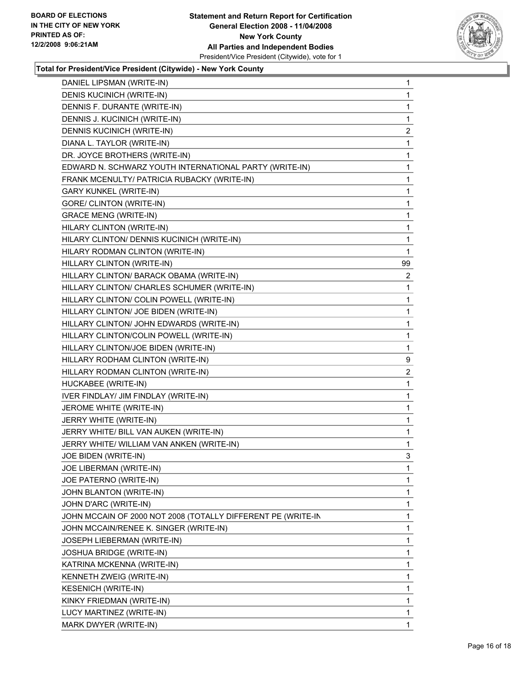

| DANIEL LIPSMAN (WRITE-IN)                                    | 1                       |
|--------------------------------------------------------------|-------------------------|
| DENIS KUCINICH (WRITE-IN)                                    | 1                       |
| DENNIS F. DURANTE (WRITE-IN)                                 | 1                       |
| DENNIS J. KUCINICH (WRITE-IN)                                | 1                       |
| DENNIS KUCINICH (WRITE-IN)                                   | $\overline{\mathbf{c}}$ |
| DIANA L. TAYLOR (WRITE-IN)                                   | 1                       |
| DR. JOYCE BROTHERS (WRITE-IN)                                | 1                       |
| EDWARD N. SCHWARZ YOUTH INTERNATIONAL PARTY (WRITE-IN)       | 1                       |
| FRANK MCENULTY/ PATRICIA RUBACKY (WRITE-IN)                  | 1                       |
| <b>GARY KUNKEL (WRITE-IN)</b>                                | 1                       |
| GORE/ CLINTON (WRITE-IN)                                     | 1                       |
| <b>GRACE MENG (WRITE-IN)</b>                                 | 1                       |
| HILARY CLINTON (WRITE-IN)                                    | 1                       |
| HILARY CLINTON/ DENNIS KUCINICH (WRITE-IN)                   | 1                       |
| HILARY RODMAN CLINTON (WRITE-IN)                             | 1                       |
| HILLARY CLINTON (WRITE-IN)                                   | 99                      |
| HILLARY CLINTON/ BARACK OBAMA (WRITE-IN)                     | $\overline{c}$          |
| HILLARY CLINTON/ CHARLES SCHUMER (WRITE-IN)                  | 1                       |
| HILLARY CLINTON/ COLIN POWELL (WRITE-IN)                     | 1                       |
| HILLARY CLINTON/ JOE BIDEN (WRITE-IN)                        | 1                       |
| HILLARY CLINTON/ JOHN EDWARDS (WRITE-IN)                     | 1                       |
| HILLARY CLINTON/COLIN POWELL (WRITE-IN)                      | 1                       |
| HILLARY CLINTON/JOE BIDEN (WRITE-IN)                         | 1                       |
| HILLARY RODHAM CLINTON (WRITE-IN)                            | 9                       |
| HILLARY RODMAN CLINTON (WRITE-IN)                            | $\overline{\mathbf{c}}$ |
| HUCKABEE (WRITE-IN)                                          | 1                       |
| IVER FINDLAY/ JIM FINDLAY (WRITE-IN)                         | 1                       |
| JEROME WHITE (WRITE-IN)                                      | 1                       |
| JERRY WHITE (WRITE-IN)                                       | 1                       |
| JERRY WHITE/ BILL VAN AUKEN (WRITE-IN)                       | 1                       |
| JERRY WHITE/ WILLIAM VAN ANKEN (WRITE-IN)                    | 1                       |
| JOE BIDEN (WRITE-IN)                                         | 3                       |
| JOE LIBERMAN (WRITE-IN)                                      | 1                       |
| JOE PATERNO (WRITE-IN)                                       | 1                       |
| JOHN BLANTON (WRITE-IN)                                      | 1                       |
| JOHN D'ARC (WRITE-IN)                                        | 1                       |
| JOHN MCCAIN OF 2000 NOT 2008 (TOTALLY DIFFERENT PE (WRITE-IN | 1                       |
| JOHN MCCAIN/RENEE K. SINGER (WRITE-IN)                       | 1                       |
| JOSEPH LIEBERMAN (WRITE-IN)                                  | 1                       |
| <b>JOSHUA BRIDGE (WRITE-IN)</b>                              | 1                       |
| KATRINA MCKENNA (WRITE-IN)                                   | 1                       |
| KENNETH ZWEIG (WRITE-IN)                                     | 1                       |
| <b>KESENICH (WRITE-IN)</b>                                   | 1                       |
| KINKY FRIEDMAN (WRITE-IN)                                    | 1                       |
| LUCY MARTINEZ (WRITE-IN)                                     | 1                       |
| MARK DWYER (WRITE-IN)                                        | 1                       |
|                                                              |                         |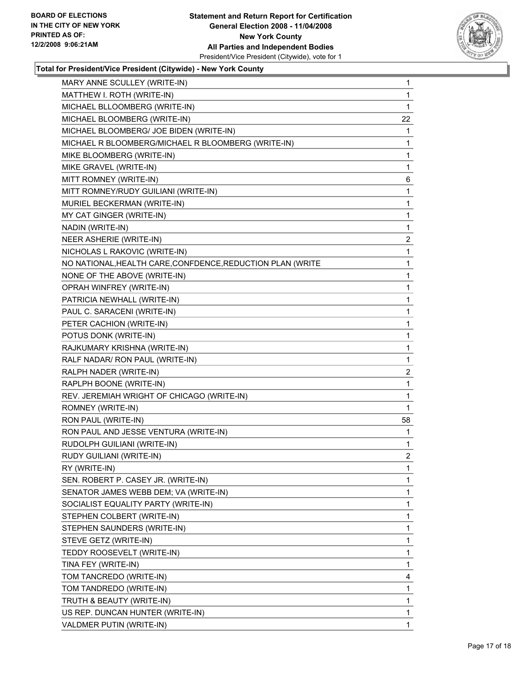

| MARY ANNE SCULLEY (WRITE-IN)                               | 1                       |
|------------------------------------------------------------|-------------------------|
| MATTHEW I. ROTH (WRITE-IN)                                 | 1                       |
| MICHAEL BLLOOMBERG (WRITE-IN)                              | 1                       |
| MICHAEL BLOOMBERG (WRITE-IN)                               | 22                      |
| MICHAEL BLOOMBERG/ JOE BIDEN (WRITE-IN)                    | 1                       |
| MICHAEL R BLOOMBERG/MICHAEL R BLOOMBERG (WRITE-IN)         | 1                       |
| MIKE BLOOMBERG (WRITE-IN)                                  | 1                       |
| MIKE GRAVEL (WRITE-IN)                                     | 1                       |
| MITT ROMNEY (WRITE-IN)                                     | 6                       |
| MITT ROMNEY/RUDY GUILIANI (WRITE-IN)                       | 1                       |
| MURIEL BECKERMAN (WRITE-IN)                                | 1                       |
| MY CAT GINGER (WRITE-IN)                                   | 1                       |
| NADIN (WRITE-IN)                                           | 1                       |
| NEER ASHERIE (WRITE-IN)                                    | 2                       |
| NICHOLAS L RAKOVIC (WRITE-IN)                              | 1                       |
| NO NATIONAL, HEALTH CARE, CONFDENCE, REDUCTION PLAN (WRITE | 1                       |
| NONE OF THE ABOVE (WRITE-IN)                               | 1                       |
| OPRAH WINFREY (WRITE-IN)                                   | 1                       |
| PATRICIA NEWHALL (WRITE-IN)                                | 1                       |
| PAUL C. SARACENI (WRITE-IN)                                | 1                       |
| PETER CACHION (WRITE-IN)                                   | 1                       |
| POTUS DONK (WRITE-IN)                                      | 1                       |
| RAJKUMARY KRISHNA (WRITE-IN)                               | 1                       |
| RALF NADAR/ RON PAUL (WRITE-IN)                            | 1                       |
| RALPH NADER (WRITE-IN)                                     | $\overline{\mathbf{c}}$ |
| RAPLPH BOONE (WRITE-IN)                                    | 1                       |
| REV. JEREMIAH WRIGHT OF CHICAGO (WRITE-IN)                 | 1                       |
| ROMNEY (WRITE-IN)                                          | 1                       |
| RON PAUL (WRITE-IN)                                        | 58                      |
| RON PAUL AND JESSE VENTURA (WRITE-IN)                      | 1                       |
| RUDOLPH GUILIANI (WRITE-IN)                                | 1                       |
| RUDY GUILIANI (WRITE-IN)                                   | $\overline{c}$          |
| RY (WRITE-IN)                                              | 1                       |
| SEN. ROBERT P. CASEY JR. (WRITE-IN)                        | 1                       |
| SENATOR JAMES WEBB DEM; VA (WRITE-IN)                      | 1                       |
| SOCIALIST EQUALITY PARTY (WRITE-IN)                        | 1                       |
| STEPHEN COLBERT (WRITE-IN)                                 | 1                       |
| STEPHEN SAUNDERS (WRITE-IN)                                | 1                       |
| STEVE GETZ (WRITE-IN)                                      | 1                       |
| TEDDY ROOSEVELT (WRITE-IN)                                 | 1                       |
| TINA FEY (WRITE-IN)                                        | 1                       |
| TOM TANCREDO (WRITE-IN)                                    | 4                       |
| TOM TANDREDO (WRITE-IN)                                    | 1                       |
| TRUTH & BEAUTY (WRITE-IN)                                  | 1                       |
| US REP. DUNCAN HUNTER (WRITE-IN)                           | 1                       |
| VALDMER PUTIN (WRITE-IN)                                   | 1                       |
|                                                            |                         |